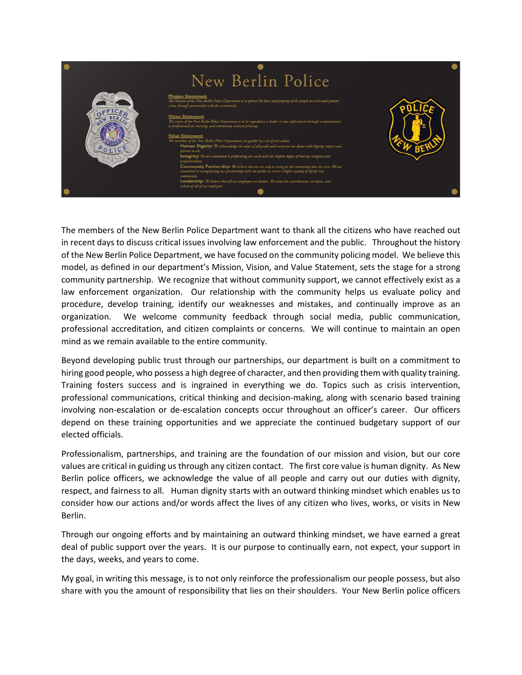| New Berlin Police                                                                                                                                                                                                                                                                                                                                                                                                                                                                                                                                                                                                                                                                                                                                                                                                                                                                                                                                                                                                                                                                                                                                                                 |  |
|-----------------------------------------------------------------------------------------------------------------------------------------------------------------------------------------------------------------------------------------------------------------------------------------------------------------------------------------------------------------------------------------------------------------------------------------------------------------------------------------------------------------------------------------------------------------------------------------------------------------------------------------------------------------------------------------------------------------------------------------------------------------------------------------------------------------------------------------------------------------------------------------------------------------------------------------------------------------------------------------------------------------------------------------------------------------------------------------------------------------------------------------------------------------------------------|--|
| <b>Mission Statement</b><br>The Mission of the New Berlin Police Department is to protect the lives and property of the people we serve and prevent<br>crime through partnership with the community.<br><b>Vision Statement</b><br>The vision of the New Berlin Police Department is to be regarded as a leader in law enforcement through a commitment<br>to professionalism, training, and community oriented policing.<br><b>Value Statement</b><br>The members of the New Berlin Police Department are guided by a set of core values:<br>Human Dignity: We acknowledge the value of all people and carry out our duties with dignity, respect and<br>fairness to all.<br>Integrity: We are committed to performing our work with the highest degree of honesty, integrity and<br>professionalism.<br>Community Partnership: We believe that we are only as strong as the community that we serve. We are<br>committed to strengthening our partnerships with the public to ensure a higher quality of life for our<br>соттипик<br>Leadership: We believe that all our employees are leaders. We value the contributions, sacrifices, and<br>talents of all of our employees. |  |
|                                                                                                                                                                                                                                                                                                                                                                                                                                                                                                                                                                                                                                                                                                                                                                                                                                                                                                                                                                                                                                                                                                                                                                                   |  |

The members of the New Berlin Police Department want to thank all the citizens who have reached out in recent days to discuss critical issues involving law enforcement and the public. Throughout the history of the New Berlin Police Department, we have focused on the community policing model. We believe this model, as defined in our department's Mission, Vision, and Value Statement, sets the stage for a strong community partnership. We recognize that without community support, we cannot effectively exist as a law enforcement organization. Our relationship with the community helps us evaluate policy and procedure, develop training, identify our weaknesses and mistakes, and continually improve as an organization. We welcome community feedback through social media, public communication, professional accreditation, and citizen complaints or concerns. We will continue to maintain an open mind as we remain available to the entire community.

Beyond developing public trust through our partnerships, our department is built on a commitment to hiring good people, who possess a high degree of character, and then providing them with quality training. Training fosters success and is ingrained in everything we do. Topics such as crisis intervention, professional communications, critical thinking and decision-making, along with scenario based training involving non-escalation or de-escalation concepts occur throughout an officer's career. Our officers depend on these training opportunities and we appreciate the continued budgetary support of our elected officials.

Professionalism, partnerships, and training are the foundation of our mission and vision, but our core values are critical in guiding us through any citizen contact. The first core value is human dignity. As New Berlin police officers, we acknowledge the value of all people and carry out our duties with dignity, respect, and fairness to all. Human dignity starts with an outward thinking mindset which enables us to consider how our actions and/or words affect the lives of any citizen who lives, works, or visits in New Berlin.

Through our ongoing efforts and by maintaining an outward thinking mindset, we have earned a great deal of public support over the years. It is our purpose to continually earn, not expect, your support in the days, weeks, and years to come.

My goal, in writing this message, is to not only reinforce the professionalism our people possess, but also share with you the amount of responsibility that lies on their shoulders. Your New Berlin police officers